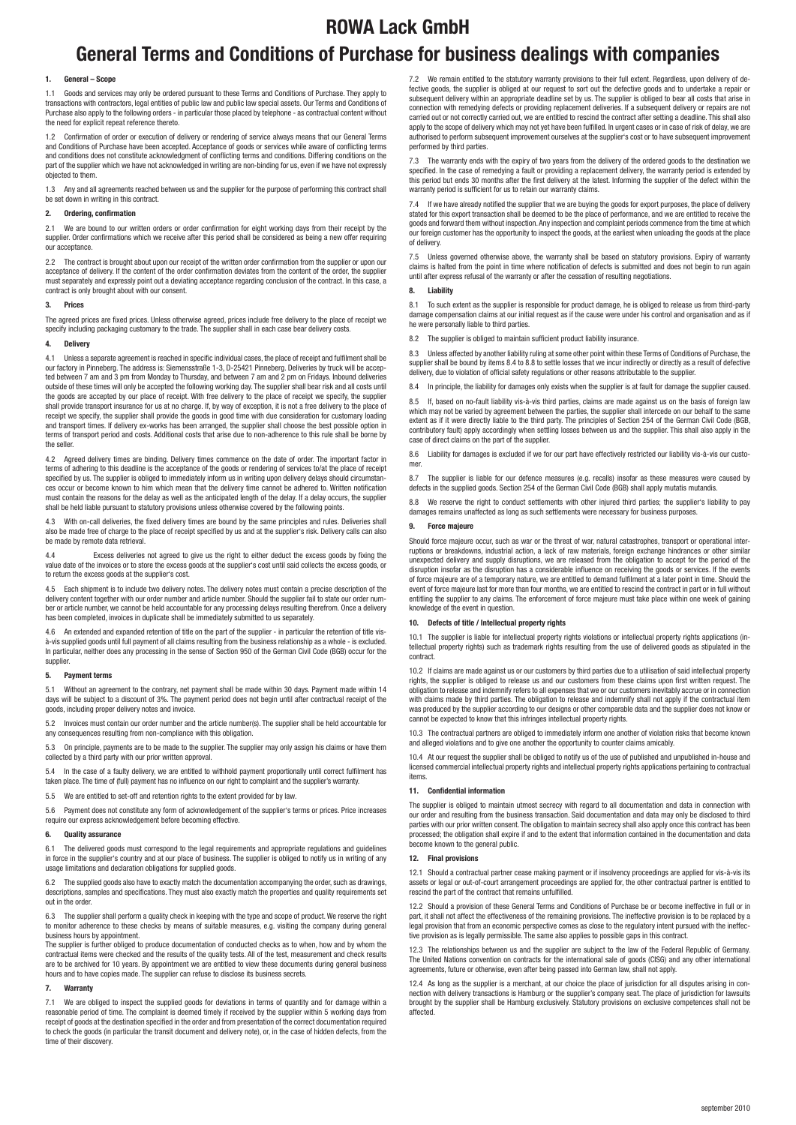# **General Terms and Conditions of Purchase for business dealings with companies ROWA Lack GmbH**

# **1. General – Scope**

1.1 Goods and services may only be ordered pursuant to these Terms and Conditions of Purchase. They apply to transactions with contractors, legal entities of public law and public law special assets. Our Terms and Conditions of Purchase also apply to the following orders - in particular those placed by telephone - as contractual content without the need for explicit repeat reference thereto.

1.2 Confirmation of order or execution of delivery or rendering of service always means that our General Terms and Conditions of Purchase have been accepted. Acceptance of goods or services while aware of conflicting terms and conditions does not constitute acknowledgment of conflicting terms and conditions. Differing conditions on the<br>part of the supplier which we have not acknowledged in writing are non-binding for us, even if we have not objected to them.

1.3 Any and all agreements reached between us and the supplier for the purpose of performing this contract shall be set down in writing in this contract.

# **2.** Ordering, confirmation

2.1 We are bound to our written orders or order confirmation for eight working days from their receipt by the supplier. Order confirmations which we receive after this period shall be considered as being a new offer requiring our acceptance.

2.2 The contract is brought about upon our receipt of the written order confirmation from the supplier or upon our acceptance of delivery. If the content of the order confirmation deviates from the content of the order, the supplier must separately and expressly point out a deviating acceptance regarding conclusion of the contract. In this case, a contract is only brought about with our consent.

## **3. Prices**

The agreed prices are fixed prices. Unless otherwise agreed, prices include free delivery to the place of receipt we specify including packaging customary to the trade. The supplier shall in each case bear delivery costs.

# **4. Delivery**

4.1 Unless a separate agreement is reached in specifi c individual cases, the place of receipt and fulfi lment shall be our factory in Pinneberg. The address is: Siemensstraße 1-3, D-25421 Pinneberg. Deliveries by truck will be accepted between 7 am and 3 pm from Monday to Thursday, and between 7 am and 2 pm on Fridays. Inbound deliveries<br>outside of these times will only be accepted the following working day. The supplier shall bear risk and all costs the goods are accepted by our place of receipt. With free delivery to the place of receipt we specify, the supplier shall provide transport insurance for us at no charge. If, by way of exception, it is not a free delivery to the place of receipt we specify, the supplier shall provide the goods in good time with due consideration for customary loading receipt we specify, the supplier shall provide the goods in good time with due consideration for customary and transport times. If delivery ex-works has been arranged, the supplier shall choose the best possible option in<br>terms of transport period and costs. Additional costs that arise due to non-adherence to this rule shall be the seller.

4.2 Agreed delivery times are binding. Delivery times commence on the date of order. The important factor in terms of adhering to this deadline is the acceptance of the goods or rendering of services to/at the place of receipt specified by us. The supplier is obliged to immediately inform us in writing upon delivery delays should circumstances occur or become known to him which mean that the delivery time cannot be adhered to. Written notification must contain the reasons for the delay as well as the anticipated length of the delay. If a delay occurs, the supplier shall be held liable pursuant to statutory provisions unless otherwise covered by the following points.

With on-call deliveries, the fixed delivery times are bound by the same principles and rules. Deliveries shall also be made free of charge to the place of receipt specified by us and at the supplier's risk. Delivery calls can also be made by remote data retrieval.

Excess deliveries not agreed to give us the right to either deduct the excess goods by fixing the value date of the invoices or to store the excess goods at the supplier's cost until said collects the excess goods, or to return the excess goods at the supplier's cost.

4.5 Each shipment is to include two delivery notes. The delivery notes must contain a precise description of the delivery content together with our order number and article number. Should the supplier fail to state our order number or article number, we cannot be held accountable for any processing delays resulting therefrom. Once a delivery has been completed, invoices in duplicate shall be immediately submitted to us separately.

4.6 An extended and expanded retention of title on the part of the supplier - in particular the retention of title visà-vis supplied goods until full payment of all claims resulting from the business relationship as a whole - is excluded. In particular, neither does any processing in the sense of Section 950 of the German Civil Code (BGB) occur for the supplier.

## **5. Payment terms**

5.1 Without an agreement to the contrary, net payment shall be made within 30 days. Payment made within 14 days will be subject to a discount of 3%. The payment period does not begin until after contractual receipt of the goods, including proper delivery notes and invoice.

5.2 Invoices must contain our order number and the article number(s). The supplier shall be held accountable for any consequences resulting from non-compliance with this obligation.

5.3 On principle, payments are to be made to the supplier. The supplier may only assign his claims or have them collected by a third party with our prior written approval.

5.4 In the case of a faulty delivery, we are entitled to withhold payment proportionally until correct fulfilment has taken place. The time of (full) payment has no influence on our right to complaint and the supplier's warranty.

5.5 We are entitled to set-off and retention rights to the extent provided for by law.

5.6 Payment does not constitute any form of acknowledgement of the supplier's terms or prices. Price increases require our express acknowledgement before becoming effective.

# **6. Quality assurance**

6.1 The delivered goods must correspond to the legal requirements and appropriate regulations and guidelines in force in the supplier's country and at our place of business. The supplier is obliged to notify us in writing of any usage limitations and declaration obligations for supplied goods.

6.2 The supplied goods also have to exactly match the documentation accompanying the order, such as drawings, descriptions, samples and specifications. They must also exactly match the properties and quality requirements set out in the order.

6.3 The supplier shall perform a quality check in keeping with the type and scope of product. We reserve the right to monitor adherence to these checks by means of suitable measures, e.g. visiting the company during general business hours by appointment.

The supplier is further obliged to produce documentation of conducted checks as to when, how and by whom the contractual items were checked and the results of the quality tests. All of the test, measurement and check results<br>are to be archived for 10 years. By appointment we are entitled to view these documents during general bus hours and to have copies made. The supplier can refuse to disclose its business secrets.

## **7. Warranty**

7.1 We are obliged to inspect the supplied goods for deviations in terms of quantity and for damage within a reasonable period of time. The complaint is deemed timely if received by the supplier within 5 working days from receipt of goods at the destination specified in the order and from presentation of the correct documentation required to check the goods (in particular the transit document and delivery note), or, in the case of hidden defects, from the time of their discovery.

7.2 We remain entitled to the statutory warranty provisions to their full extent. Regardless, upon delivery of defective goods, the supplier is obliged at our request to sort out the defective goods and to undertake a repair or<br>subsequent delivery within an appropriate deadline set by us. The supplier is obliged to bear all costs tha connection with remedying defects or providing replacement deliveries. If a subsequent delivery or repairs are not carried out or not correctly carried out, we are entitled to rescind the contract after setting a deadline. This shall also apply to the scope of delivery which may not yet have been fulfilled. In urgent cases or in case of risk of delay, we are apply to the scope of delivery which may not yet have been fulfilled. In urgent cases or in case of authorised to perform subsequent improvement ourselves at the supplier's cost or to have subsequent improvement performed by third parties.

7.3 The warranty ends with the expiry of two years from the delivery of the ordered goods to the destination we specified. In the case of remedying a fault or providing a replacement delivery, the warranty period is extended by this period but ends 30 months after the first delivery at the latest. Informing the supplier of the defect within the warranty period is sufficient for us to retain our warranty claims.

7.4 If we have already notified the supplier that we are buying the goods for export purposes, the place of delivery stated for this export transaction shall be deemed to be the place of performance, and we are entitled to receive the stated for this export transaction shall be deemed to be the place of performance, and we are entitled t goods and forward them without inspection. Any inspection and complaint periods commence from the time at which our foreign customer has the opportunity to inspect the goods, at the earliest when unloading the goods at the place of delivery.

7.5 Unless governed otherwise above, the warranty shall be based on statutory provisions. Expiry of warranty<br>claims is halted from the point in time where notification of defects is submitted and does not begin to run agai until after express refusal of the warranty or after the cessation of resulting negotiations.

# **8. Liability**

8.1 To such extent as the supplier is responsible for product damage, he is obliged to release us from third-party damage compensation claims at our initial request as if the cause were under his control and organisation and as if he were personally liable to third parties.

8.2 The supplier is obliged to maintain sufficient product liability insurance.

8.3 Unless affected by another liability ruling at some other point within these Terms of Conditions of Purchase, the supplier shall be bound by items 8.4 to 8.8 to settle losses that we incur indirectly or directly as a result of defective delivery, due to violation of official safety regulations or other reasons attributable to the supplier.

8.4 In principle, the liability for damages only exists when the supplier is at fault for damage the supplier caused.

8.5 If, based on no-fault liability vis-à-vis third parties, claims are made against us on the basis of foreign law which may not be varied by agreement between the parties, the supplier shall intercede on our behalf to the same extent as if it were directly liable to the third party. The principles of Section 254 of the German Civil Code (BGB, contributory fault) apply accordingly when settling losses between us and the supplier. This shall also apply in the case of direct claims on the part of the supplier.

8.6 Liability for damages is excluded if we for our part have effectively restricted our liability vis-à-vis our customer.

8.7 The supplier is liable for our defence measures (e.g. recalls) insofar as these measures were caused by defects in the supplied goods. Section 254 of the German Civil Code (BGB) shall apply mutatis mutandis.

8.8 We reserve the right to conduct settlements with other injured third parties; the supplier's liability to pay damages remains unaffected as long as such settlements were necessary for business purposes.

# **9. Force majeure**

Should force majeure occur, such as war or the threat of war, natural catastrophes, transport or operational interruptions or breakdowns, industrial action, a lack of raw materials, foreign exchange hindrances or other similar unexpected delivery and supply disruptions, we are released from the obligation to accept for the period of the disruption insofar as the disruption has a considerable influence on receiving the goods or services. If the events of force majeure are of a temporary nature, we are entitled to demand fulfi lment at a later point in time. Should the event of force majeure last for more than four months, we are entitled to rescind the contract in part or in full without entitling the supplier to any claims. The enforcement of force majeure must take place within one week of gaining knowledge of the event in question.

# **10. Defects of title / Intellectual property rights**

10.1 The supplier is liable for intellectual property rights violations or intellectual property rights applications (intellectual property rights) such as trademark rights resulting from the use of delivered goods as stipulated in the contract.

10.2 If claims are made against us or our customers by third parties due to a utilisation of said intellectual property rights, the supplier is obliged to release us and our customers from these claims upon first written request. The obligation to release and indemnify refers to all expenses that we or our customers inevitably accrue or in connection with claims made by third parties. The obligation to release and indemnify shall not apply if the contractual item was produced by the supplier according to our designs or other comparable data and the supplier does not know or cannot be expected to know that this infringes intellectual property rights.

10.3 The contractual partners are obliged to immediately inform one another of violation risks that become known and alleged violations and to give one another the opportunity to counter claims amicably.

10.4 At our request the supplier shall be obliged to notify us of the use of published and unpublished in-house and licensed commercial intellectual property rights and intellectual property rights applications pertaining to contractual items.

### **11.** Confidential information

The supplier is obliged to maintain utmost secrecy with regard to all documentation and data in connection with our order and resulting from the business transaction. Said documentation and data may only be disclosed to third parties with our prior written consent. The obligation to maintain secrecy shall also apply once this contract has been<br>parties with our prior written consent. The obligation to maintain secrecy shall also apply once this processed; the obligation shall expire if and to the extent that information contained in the documentation and data become known to the general public.

## **12. Final provisions**

12.1 Should a contractual partner cease making payment or if insolvency proceedings are applied for vis-à-vis its assets or legal or out-of-court arrangement proceedings are applied for, the other contractual partner is entitled to rescind the part of the contract that remains unfulfilled

12.2 Should a provision of these General Terms and Conditions of Purchase be or become ineffective in full or in part, it shall not affect the effectiveness of the remaining provisions. The ineffective provision is to be replaced by a legal provision that from an economic perspective comes as close to the regulatory intent pursued with the ineffective provision as is legally permissible. The same also applies to possible gaps in this contract.

12.3 The relationships between us and the supplier are subject to the law of the Federal Republic of Germany. The United Nations convention on contracts for the international sale of goods (CISG) and any other international agreements, future or otherwise, even after being passed into German law, shall not apply.

12.4 As long as the supplier is a merchant, at our choice the place of jurisdiction for all disputes arising in connection with delivery transactions is Hamburg or the supplier's company seat. The place of jurisdiction for lawsuits brought by the supplier shall be Hamburg exclusively. Statutory provisions on exclusive competences shall not be affected.